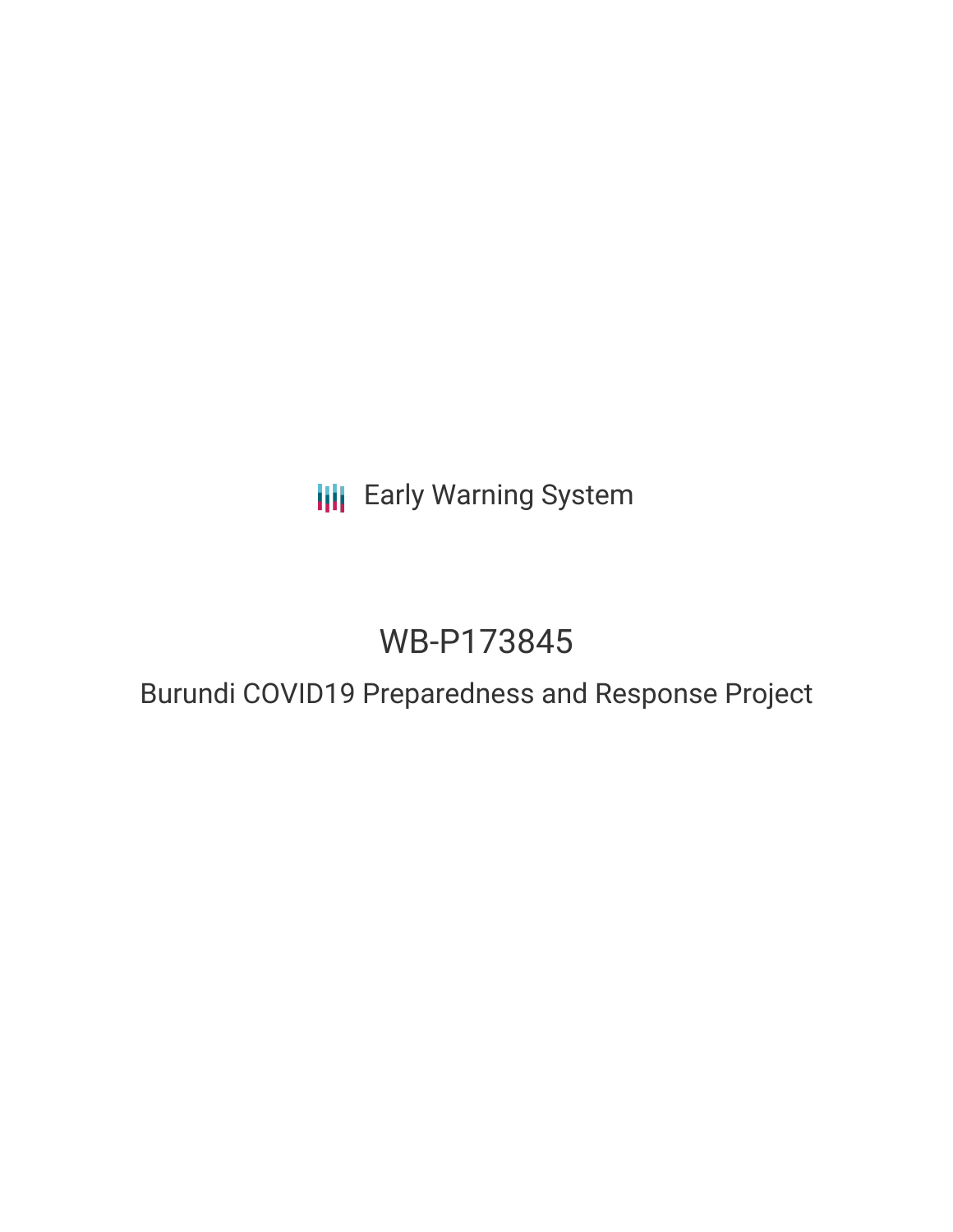**III** Early Warning System

# WB-P173845

## Burundi COVID19 Preparedness and Response Project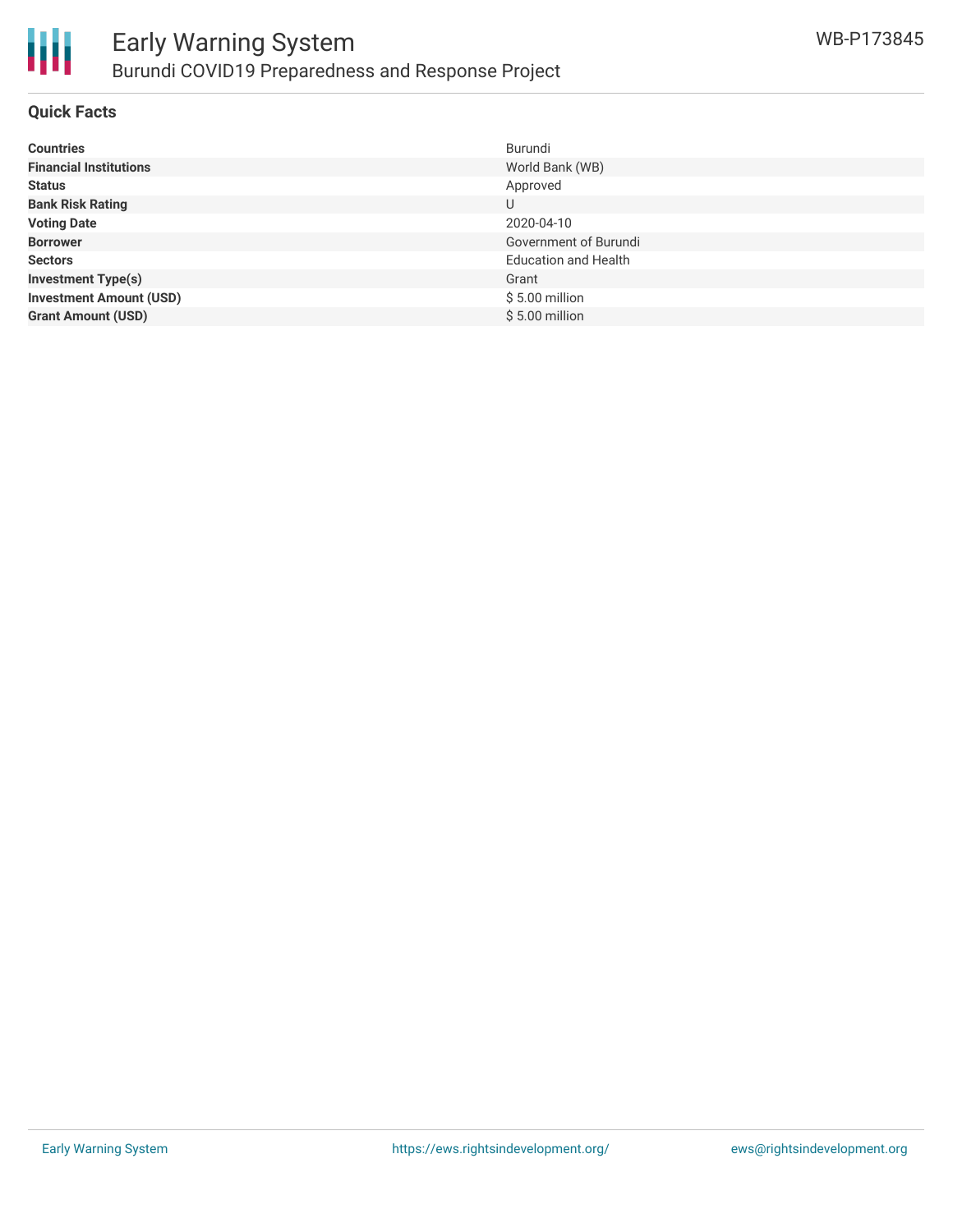

### **Quick Facts**

| <b>Countries</b>               | Burundi                     |
|--------------------------------|-----------------------------|
| <b>Financial Institutions</b>  | World Bank (WB)             |
| <b>Status</b>                  | Approved                    |
| <b>Bank Risk Rating</b>        | U                           |
| <b>Voting Date</b>             | 2020-04-10                  |
| <b>Borrower</b>                | Government of Burundi       |
| <b>Sectors</b>                 | <b>Education and Health</b> |
| <b>Investment Type(s)</b>      | Grant                       |
| <b>Investment Amount (USD)</b> | $$5.00$ million             |
| <b>Grant Amount (USD)</b>      | $$5.00$ million             |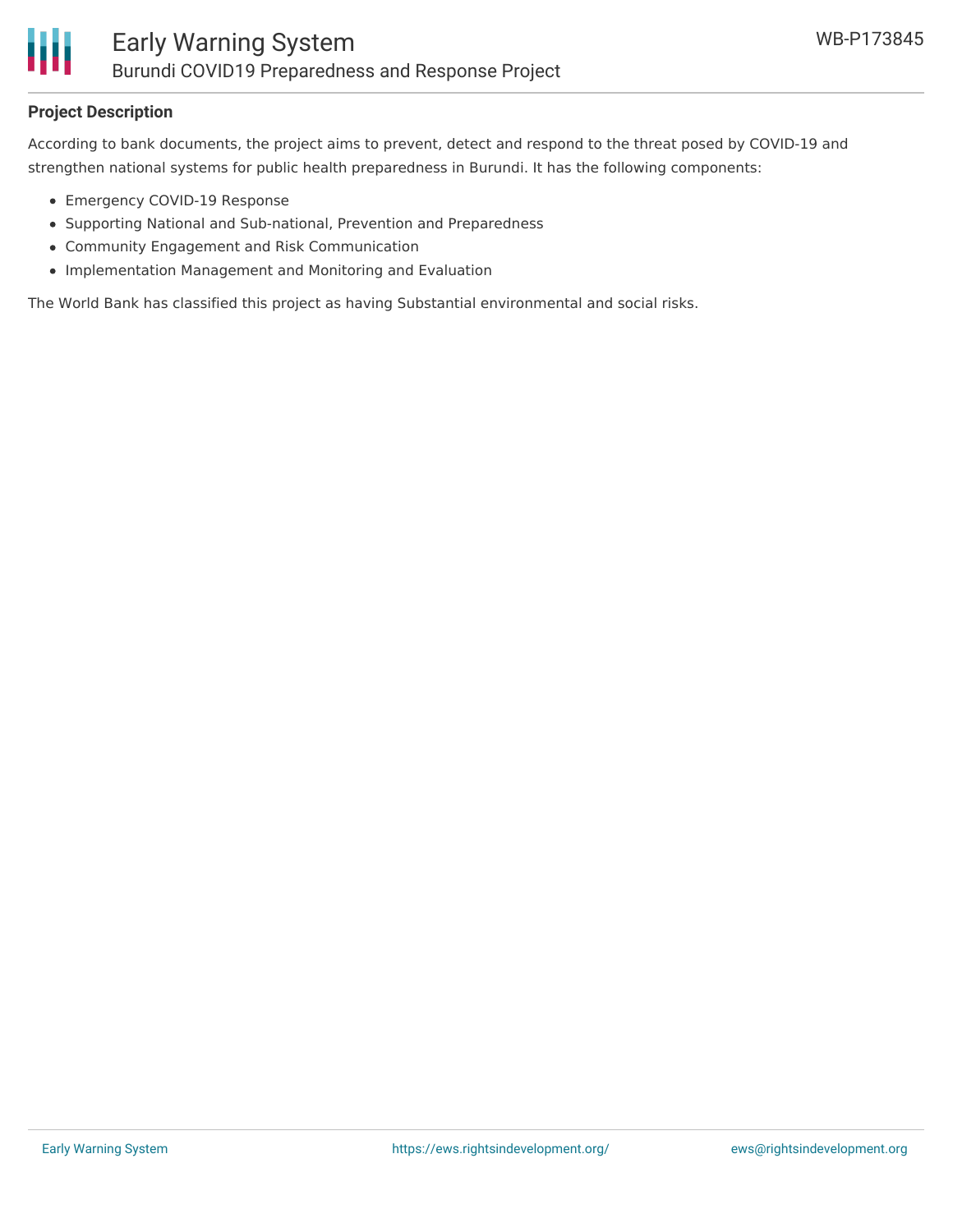

### **Project Description**

According to bank documents, the project aims to prevent, detect and respond to the threat posed by COVID-19 and strengthen national systems for public health preparedness in Burundi. It has the following components:

- Emergency COVID-19 Response
- Supporting National and Sub-national, Prevention and Preparedness
- Community Engagement and Risk Communication
- Implementation Management and Monitoring and Evaluation

The World Bank has classified this project as having Substantial environmental and social risks.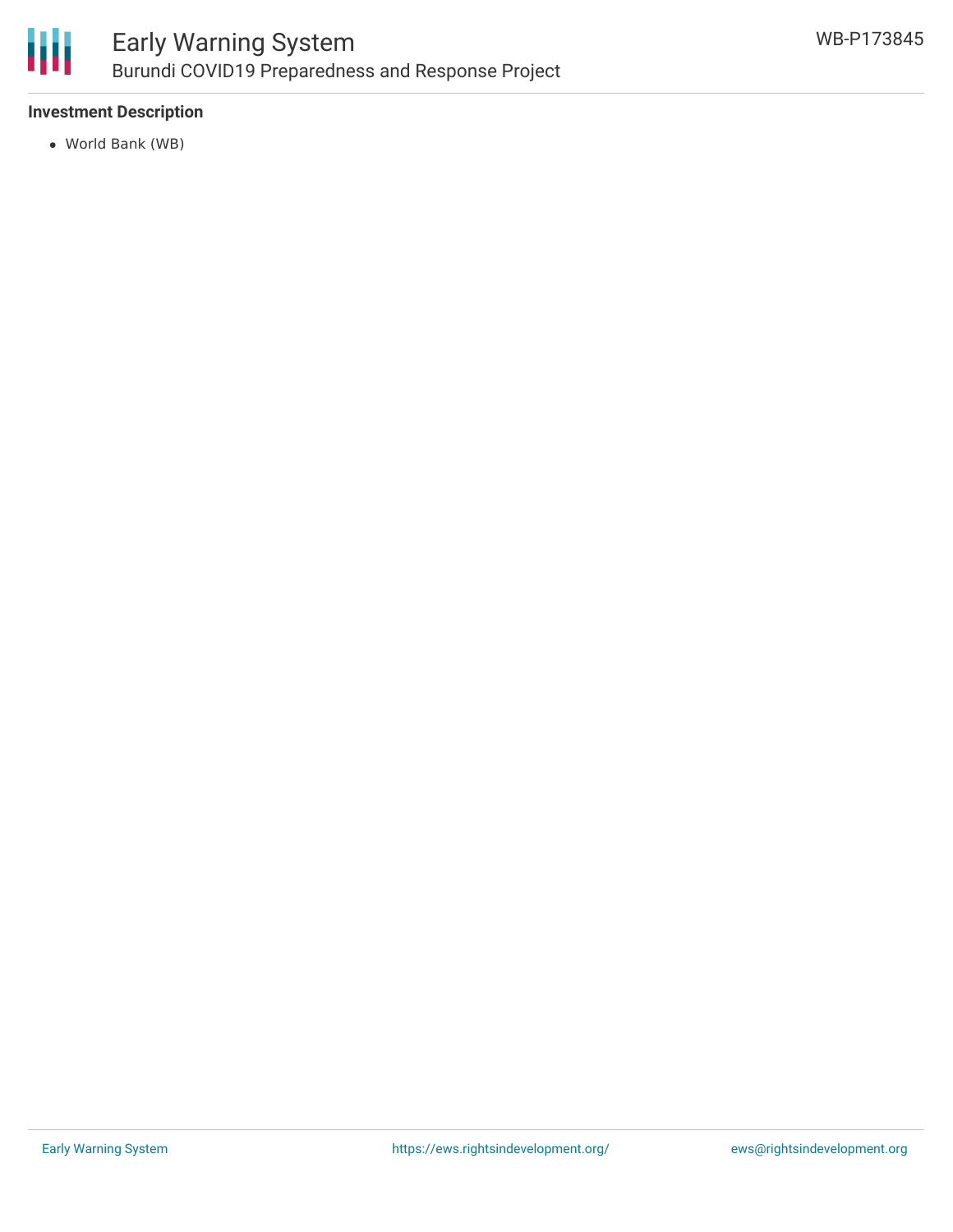

### **Investment Description**

World Bank (WB)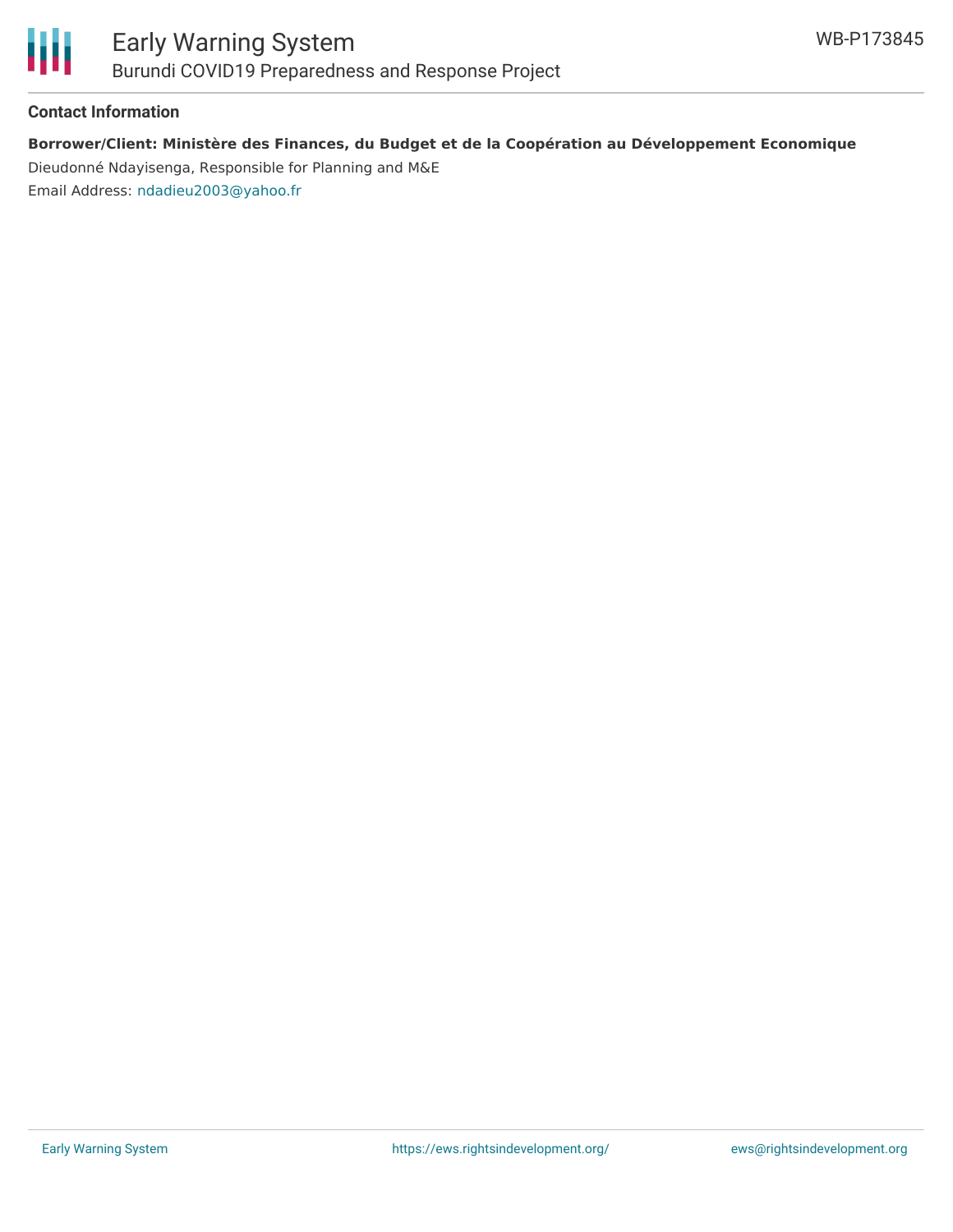

#### **Contact Information**

### **Borrower/Client: Ministère des Finances, du Budget et de la Coopération au Développement Economique**

Dieudonné Ndayisenga, Responsible for Planning and M&E Email Address: [ndadieu2003@yahoo.fr](mailto:ndadieu2003@yahoo.fr)